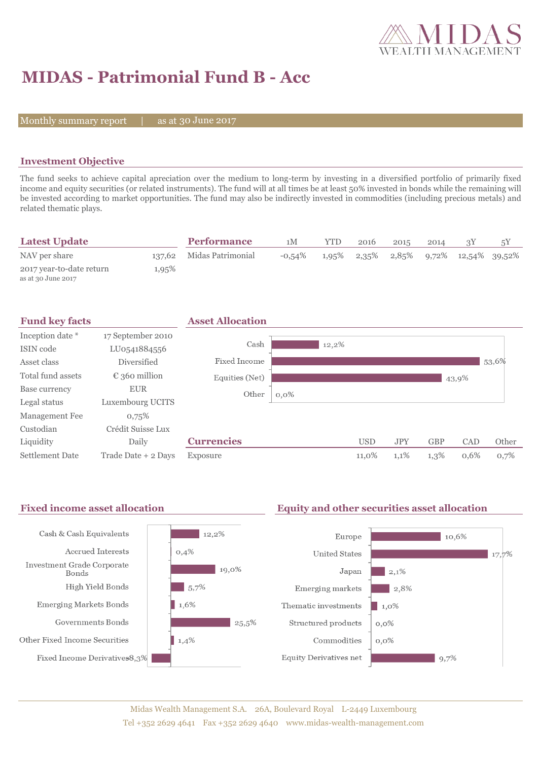

# **MIDAS - Patrimonial Fund B - Acc**

Monthly summary report  $|$ 

as at 30 June 2017

### **Investment Objective**

The fund seeks to achieve capital apreciation over the medium to long-term by investing in a diversified portfolio of primarily fixed income and equity securities (or related instruments). The fund will at all times be at least 50% invested in bonds while the remaining will be invested according to market opportunities. The fund may also be indirectly invested in commodities (including precious metals) and related thematic plays.

| <b>Latest Update</b>                           |       | <b>Performance</b>       | 1M        | YTD   | 2016 | 2015 | 2014 |                                                | 5Y |
|------------------------------------------------|-------|--------------------------|-----------|-------|------|------|------|------------------------------------------------|----|
| NAV per share                                  |       | 137,62 Midas Patrimonial | $-0.54\%$ | 1,95% |      |      |      | $2,35\%$ $2,85\%$ $9,72\%$ $12,54\%$ $39,52\%$ |    |
| 2017 year-to-date return<br>as at 30 June 2017 | 1,95% |                          |           |       |      |      |      |                                                |    |



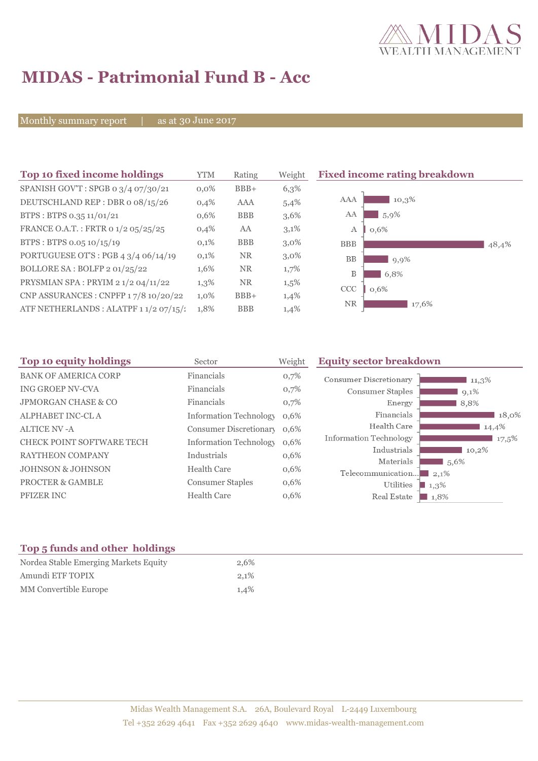

## **MIDAS - Patrimonial Fund B - Acc**

Monthly summary report | as at 30 June 2017

| Top 10 fixed income holdings                   | <b>YTM</b> | Rating     | Weight  | <b>Fixed income rating breakdown</b> |
|------------------------------------------------|------------|------------|---------|--------------------------------------|
| SPANISH GOV'T: SPGB 0 3/4 07/30/21             | $0.0\%$    | $BBB+$     | 6,3%    |                                      |
| DEUTSCHLAND REP : DBR o 08/15/26               | 0,4%       | AAA        | 5,4%    | AAA<br>10,3%                         |
| BTPS: BTPS 0.35 11/01/21                       | $0.6\%$    | <b>BBB</b> | $3,6\%$ | 5,9%<br>AA                           |
| FRANCE O.A.T.: FRTR 0 1/2 05/25/25             | 0,4%       | AA         | 3,1%    | $\mathbf{A}$<br>0,6%                 |
| BTPS: BTPS 0.05 10/15/19                       | 0,1%       | <b>BBB</b> | $3,0\%$ | <b>BBB</b><br>48,4%                  |
| PORTUGUESE OT'S : PGB $4 \frac{3}{4}$ 06/14/19 | 0,1%       | <b>NR</b>  | $3,0\%$ | <b>BB</b><br>9,9%                    |
| BOLLORE SA: BOLFP 2 01/25/22                   | 1,6%       | <b>NR</b>  | 1,7%    | B<br>6,8%                            |
| PRYSMIAN SPA: PRYIM 2 1/2 04/11/22             | 1,3%       | <b>NR</b>  | $1,5\%$ | CCC<br>0,6%                          |
| CNP ASSURANCES : CNPFP 17/8 10/20/22           | 1,0%       | $BBB+$     | 1,4%    |                                      |
| ATF NETHERLANDS : ALATPF 1 1/2 07/15/:         | 1,8%       | <b>BBB</b> | 1,4%    | <b>NR</b><br>17,6%                   |

| Top 10 equity holdings           | Sector                        | Weight | <b>Equity sector breakdown</b> |                     |
|----------------------------------|-------------------------------|--------|--------------------------------|---------------------|
| <b>BANK OF AMERICA CORP</b>      | Financials                    | 0,7%   | <b>Consumer Discretionary</b>  | $11,3\%$            |
| <b>ING GROEP NV-CVA</b>          | Financials                    | 0,7%   | Consumer Staples               | $9,1\%$             |
| <b>JPMORGAN CHASE &amp; CO</b>   | Financials                    | 0,7%   | Energy                         | 8,8%                |
| ALPHABET INC-CL A                | <b>Information Technology</b> | 0,6%   | Financials                     | 18,0%               |
| <b>ALTICE NV -A</b>              | Consumer Discretionary        | 0.6%   | Health Care                    | 14,4%               |
| <b>CHECK POINT SOFTWARE TECH</b> | <b>Information Technology</b> | 0,6%   | <b>Information Technology</b>  | 17,5%               |
| RAYTHEON COMPANY                 | Industrials                   | 0,6%   | Industrials                    | 10,2%               |
| <b>JOHNSON &amp; JOHNSON</b>     | <b>Health Care</b>            | 0,6%   | Materials<br>Telecommunication | 1,5,6%              |
| <b>PROCTER &amp; GAMBLE</b>      | <b>Consumer Staples</b>       | 0,6%   | Utilities                      | 2,1%<br>$1,3\%$     |
| PFIZER INC                       | <b>Health Care</b>            | 0,6%   | Real Estate                    | $\blacksquare$ 1,8% |

### **Top 5 funds and other holdings**

| Nordea Stable Emerging Markets Equity | 2.6% |
|---------------------------------------|------|
| Amundi ETF TOPIX                      | 2.1% |
| MM Convertible Europe                 | 1.4% |